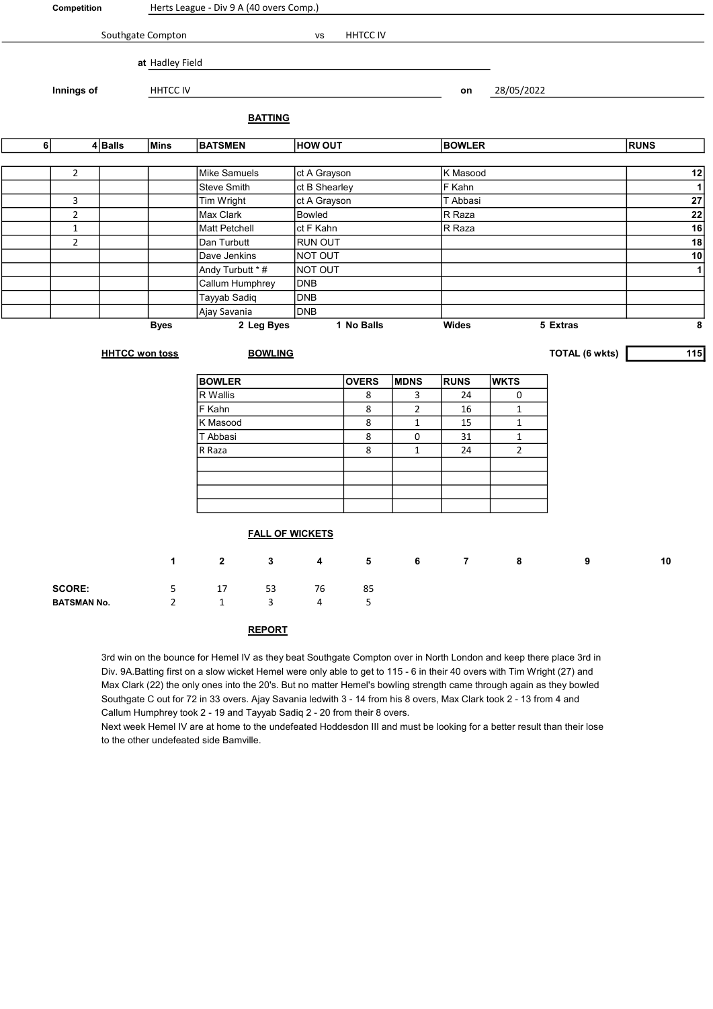| Competition        |                         |                                | Herts League - Div 9 A (40 overs Comp.) |                                  |                |                        |               |                |                |                |          |                  |              |  |
|--------------------|-------------------------|--------------------------------|-----------------------------------------|----------------------------------|----------------|------------------------|---------------|----------------|----------------|----------------|----------|------------------|--------------|--|
|                    |                         | Southgate Compton              | HHTCC IV<br>VS                          |                                  |                |                        |               |                |                |                |          |                  |              |  |
|                    |                         |                                |                                         |                                  |                |                        |               |                |                |                |          |                  |              |  |
|                    |                         |                                | at Hadley Field                         |                                  |                |                        |               |                |                |                |          |                  |              |  |
|                    | Innings of              |                                | HHTCC IV                                |                                  |                |                        |               |                | on             | 28/05/2022     |          |                  |              |  |
|                    |                         |                                |                                         |                                  |                |                        |               |                |                |                |          |                  |              |  |
|                    |                         |                                |                                         |                                  | <b>BATTING</b> |                        |               |                |                |                |          |                  |              |  |
|                    | 6<br>$4 $ Balls<br>Mins |                                |                                         | <b>HOW OUT</b><br><b>BATSMEN</b> |                |                        | <b>BOWLER</b> |                |                | <b>RUNS</b>    |          |                  |              |  |
|                    |                         |                                |                                         | Mike Samuels                     |                |                        |               |                | K Masood       |                |          |                  |              |  |
|                    | $\mathbf{2}$            |                                |                                         | Steve Smith                      |                | ct A Grayson           |               |                | F Kahn         |                |          |                  | 12           |  |
|                    |                         |                                |                                         |                                  |                | ct B Shearley          |               |                | T Abbasi       |                |          |                  | $\mathbf{1}$ |  |
|                    | 3                       |                                |                                         | Tim Wright                       |                | ct A Grayson<br>Bowled |               |                | R Raza         |                |          |                  | ${\bf 27}$   |  |
|                    | $\overline{2}$          |                                |                                         | Max Clark<br>Matt Petchell       | ct F Kahn      |                        |               |                | R Raza         |                |          | ${\bf 22}$<br>16 |              |  |
|                    |                         | $\mathbf{1}$<br>$\overline{2}$ |                                         |                                  |                | <b>RUN OUT</b>         |               |                |                |                |          | 18               |              |  |
|                    |                         |                                |                                         | Dan Turbutt<br>Dave Jenkins      |                | NOT OUT                |               |                |                |                |          |                  | $10$         |  |
|                    |                         |                                |                                         | Andy Turbutt * #                 |                | NOT OUT                |               |                |                |                |          |                  | $\mathbf{1}$ |  |
|                    |                         |                                |                                         | Callum Humphrey                  |                | <b>DNB</b>             |               |                |                |                |          |                  |              |  |
|                    |                         |                                |                                         | Tayyab Sadiq                     |                | <b>DNB</b>             |               |                |                |                |          |                  |              |  |
|                    |                         |                                |                                         | Ajay Savania                     |                | DNB                    |               |                |                |                |          |                  |              |  |
|                    |                         |                                | <b>Byes</b>                             |                                  | 2 Leg Byes     |                        | 1 No Balls    |                | Wides          |                | 5 Extras |                  | 8            |  |
|                    |                         |                                |                                         |                                  |                |                        |               |                |                |                |          |                  |              |  |
|                    |                         |                                | <b>HHTCC won toss</b>                   | <b>BOWLING</b>                   |                |                        |               |                |                | TOTAL (6 wkts) |          | 115              |              |  |
|                    |                         |                                |                                         |                                  |                |                        |               |                |                |                |          |                  |              |  |
|                    |                         |                                |                                         | <b>BOWLER</b>                    |                |                        | <b>OVERS</b>  | <b>MDNS</b>    | <b>RUNS</b>    | <b>WKTS</b>    |          |                  |              |  |
|                    |                         |                                |                                         | R Wallis                         |                |                        | 8             | 3              | 24             | 0              |          |                  |              |  |
|                    |                         |                                |                                         | F Kahn                           |                |                        | 8             | $\overline{2}$ | 16             | $\mathbf{1}$   |          |                  |              |  |
|                    |                         |                                |                                         | K Masood                         |                |                        | 8             | $\mathbf{1}$   | 15             | $\mathbf{1}$   |          |                  |              |  |
|                    |                         |                                |                                         | T Abbasi                         |                |                        | 8             | $\pmb{0}$      | 31             | $\mathbf{1}$   |          |                  |              |  |
|                    |                         |                                |                                         | R Raza                           |                |                        | 8             | $\mathbf{1}$   | 24             | $\overline{2}$ |          |                  |              |  |
|                    |                         |                                |                                         |                                  |                |                        |               |                |                |                |          |                  |              |  |
|                    |                         |                                |                                         |                                  |                |                        |               |                |                |                |          |                  |              |  |
|                    |                         |                                |                                         |                                  |                |                        |               |                |                |                |          |                  |              |  |
|                    |                         |                                |                                         |                                  |                |                        |               |                |                |                |          |                  |              |  |
|                    |                         |                                |                                         | <b>FALL OF WICKETS</b>           |                |                        |               |                |                |                |          |                  |              |  |
|                    |                         |                                | $\mathbf 1$                             | $\mathbf 2$                      | $\mathbf 3$    | 4                      | 5             | 6 <sup>1</sup> | $\overline{7}$ | 8              | 9        | 10               |              |  |
|                    |                         |                                |                                         |                                  |                |                        |               |                |                |                |          |                  |              |  |
|                    | <b>SCORE:</b>           |                                | 5                                       | 17                               | 53             | 76                     | 85            |                |                |                |          |                  |              |  |
| <b>BATSMAN No.</b> |                         |                                | $\overline{2}$                          | $\mathbf{1}$                     | 3              | 4                      | 5             |                |                |                |          |                  |              |  |
|                    |                         |                                |                                         |                                  |                |                        |               |                |                |                |          |                  |              |  |
|                    |                         |                                |                                         |                                  | <b>REPORT</b>  |                        |               |                |                |                |          |                  |              |  |

3rd win on the bounce for Hemel IV as they beat Southgate Compton over in North London and keep there place 3rd in Div. 9A.Batting first on a slow wicket Hemel were only able to get to 115 - 6 in their 40 overs with Tim Wright (27) and Max Clark (22) the only ones into the 20's. But no matter Hemel's bowling strength came through again as they bowled Southgate C out for 72 in 33 overs. Ajay Savania ledwith 3 - 14 from his 8 overs, Max Clark took 2 - 13 from 4 and Callum Humphrey took 2 - 19 and Tayyab Sadiq 2 - 20 from their 8 overs.

Next week Hemel IV are at home to the undefeated Hoddesdon III and must be looking for a better result than their lose to the other undefeated side Bamville.